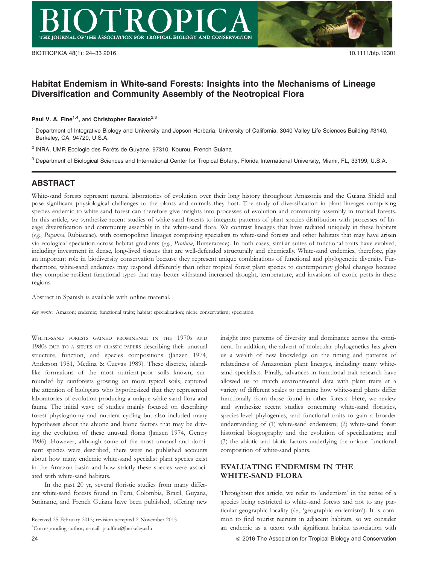# Habitat Endemism in White-sand Forests: Insights into the Mechanisms of Lineage Diversification and Community Assembly of the Neotropical Flora

Paul V. A. Fine<sup>1,4</sup>, and Christopher Baraloto<sup>2,3</sup>

<sup>1</sup> Department of Integrative Biology and University and Jepson Herbaria, University of California, 3040 Valley Life Sciences Building #3140, Berkeley, CA, 94720, U.S.A.

 $2$  INRA, UMR Ecologie des Forêts de Guyane, 97310, Kourou, French Guiana

<sup>3</sup> Department of Biological Sciences and International Center for Tropical Botany, Florida International University, Miami, FL, 33199, U.S.A.

## ABSTRACT

White-sand forests represent natural laboratories of evolution over their long history throughout Amazonia and the Guiana Shield and pose significant physiological challenges to the plants and animals they host. The study of diversification in plant lineages comprising species endemic to white-sand forest can therefore give insights into processes of evolution and community assembly in tropical forests. In this article, we synthesize recent studies of white-sand forests to integrate patterns of plant species distribution with processes of lineage diversification and community assembly in the white-sand flora. We contrast lineages that have radiated uniquely in these habitats (e.g., Pagamea, Rubiaceae), with cosmopolitan lineages comprising specialists to white-sand forests and other habitats that may have arisen via ecological speciation across habitat gradients (e.g., Protium, Burseraceae). In both cases, similar suites of functional traits have evolved, including investment in dense, long-lived tissues that are well-defended structurally and chemically. White-sand endemics, therefore, play an important role in biodiversity conservation because they represent unique combinations of functional and phylogenetic diversity. Furthermore, white-sand endemics may respond differently than other tropical forest plant species to contemporary global changes because they comprise resilient functional types that may better withstand increased drought, temperature, and invasions of exotic pests in these regions.

Abstract in Spanish is available with online material.

Key words: Amazon; endemic; functional traits; habitat specialization; niche conservatism; speciation.

WHITE-SAND FORESTS GAINED PROMINENCE IN THE 1970s AND 1980S DUE TO A SERIES OF CLASSIC PAPERS describing their unusual structure, function, and species compositions (Janzen 1974, Anderson 1981, Medina & Cuevas 1989). These discrete, islandlike formations of the most nutrient-poor soils known, surrounded by rainforests growing on more typical soils, captured the attention of biologists who hypothesized that they represented laboratories of evolution producing a unique white-sand flora and fauna. The initial wave of studies mainly focused on describing forest physiognomy and nutrient cycling but also included many hypotheses about the abiotic and biotic factors that may be driving the evolution of these unusual floras (Janzen 1974, Gentry 1986). However, although some of the most unusual and dominant species were described, there were no published accounts about how many endemic white-sand specialist plant species exist in the Amazon basin and how strictly these species were associated with white-sand habitats.

In the past 20 yr, several floristic studies from many different white-sand forests found in Peru, Colombia, Brazil, Guyana, Suriname, and French Guiana have been published, offering new

Received 25 February 2015; revision accepted 2 November 2015. 4 Corresponding author; e-mail: paulfine@berkeley.edu

insight into patterns of diversity and dominance across the continent. In addition, the advent of molecular phylogenetics has given us a wealth of new knowledge on the timing and patterns of relatedness of Amazonian plant lineages, including many whitesand specialists. Finally, advances in functional trait research have allowed us to match environmental data with plant traits at a variety of different scales to examine how white-sand plants differ functionally from those found in other forests. Here, we review and synthesize recent studies concerning white-sand floristics, species-level phylogenies, and functional traits to gain a broader understanding of (1) white-sand endemism; (2) white-sand forest historical biogeography and the evolution of specialization; and (3) the abiotic and biotic factors underlying the unique functional composition of white-sand plants.

# EVALUATING ENDEMISM IN THE WHITE-SAND FLORA

Throughout this article, we refer to 'endemism' in the sense of a species being restricted to white-sand forests and not to any particular geographic locality (i.e., 'geographic endemism'). It is common to find tourist recruits in adjacent habitats, so we consider an endemic as a taxon with significant habitat association with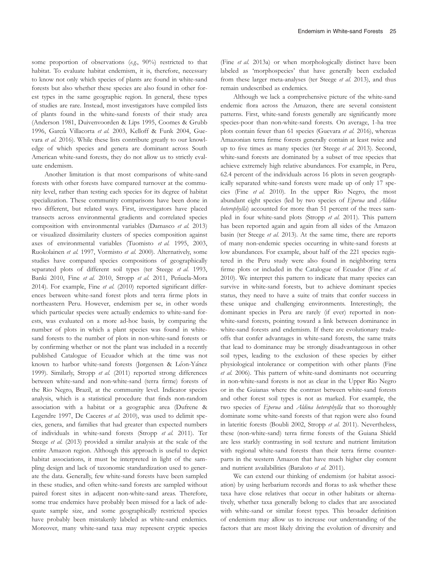some proportion of observations  $(e.g., 90\%)$  restricted to that habitat. To evaluate habitat endemism, it is, therefore, necessary to know not only which species of plants are found in white-sand forests but also whether these species are also found in other forest types in the same geographic region. In general, these types of studies are rare. Instead, most investigators have compiled lists of plants found in the white-sand forests of their study area (Anderson 1981, Duivenvoorden & Lips 1995, Coomes & Grubb 1996, García Villacorta et al. 2003, Kelloff & Funk 2004, Guevara et al. 2016). While these lists contribute greatly to our knowledge of which species and genera are dominant across South American white-sand forests, they do not allow us to strictly evaluate endemism.

Another limitation is that most comparisons of white-sand forests with other forests have compared turnover at the community level, rather than testing each species for its degree of habitat specialization. These community comparisons have been done in two different, but related ways. First, investigators have placed transects across environmental gradients and correlated species composition with environmental variables (Damasco et al. 2013) or visualized dissimilarity clusters of species composition against axes of environmental variables (Tuomisto et al. 1995, 2003, Ruokolainen et al. 1997, Vormisto et al. 2000). Alternatively, some studies have compared species compositions of geographically separated plots of different soil types (ter Steege et al. 1993, Banki 2010, Fine et al. 2010, Stropp et al. 2011, Peñuela-Mora 2014). For example, Fine et al. (2010) reported significant differences between white-sand forest plots and terra firme plots in northeastern Peru. However, endemism per se, in other words which particular species were actually endemics to white-sand forests, was evaluated on a more ad-hoc basis, by comparing the number of plots in which a plant species was found in whitesand forests to the number of plots in non-white-sand forests or by confirming whether or not the plant was included in a recently published Catalogue of Ecuador which at the time was not known to harbor white-sand forests (Jørgensen & Léon-Yánez 1999). Similarly, Stropp et al. (2011) reported strong differences between white-sand and non-white-sand (terra firme) forests of the Rio Negro, Brazil, at the community level. Indicator species analysis, which is a statistical procedure that finds non-random association with a habitat or a geographic area (Dufrene & Legendre 1997, De Caceres et al. 2010), was used to delimit species, genera, and families that had greater than expected numbers of individuals in white-sand forests (Stropp et al. 2011). Ter Steege et al. (2013) provided a similar analysis at the scale of the entire Amazon region. Although this approach is useful to depict habitat associations, it must be interpreted in light of the sampling design and lack of taxonomic standardization used to generate the data. Generally, few white-sand forests have been sampled in these studies, and often white-sand forests are sampled without paired forest sites in adjacent non-white-sand areas. Therefore, some true endemics have probably been missed for a lack of adequate sample size, and some geographically restricted species have probably been mistakenly labeled as white-sand endemics. Moreover, many white-sand taxa may represent cryptic species

(Fine et al. 2013a) or when morphologically distinct have been labeled as 'morphospecies' that have generally been excluded from these larger meta-analyses (ter Steege et al. 2013), and thus remain undescribed as endemics.

Although we lack a comprehensive picture of the white-sand endemic flora across the Amazon, there are several consistent patterns. First, white-sand forests generally are significantly more species-poor than non-white-sand forests. On average, 1-ha tree plots contain fewer than 61 species (Guevara et al. 2016), whereas Amazonian terra firme forests generally contain at least twice and up to five times as many species (ter Steege et al. 2013). Second, white-sand forests are dominated by a subset of tree species that achieve extremely high relative abundances. For example, in Peru, 62.4 percent of the individuals across 16 plots in seven geographically separated white-sand forests were made up of only 17 species (Fine et al. 2010). In the upper Rio Negro, the most abundant eight species (led by two species of Eperua and Aldina heterophylla) accounted for more than 51 percent of the trees sampled in four white-sand plots (Stropp et al. 2011). This pattern has been reported again and again from all sides of the Amazon basin (ter Steege et al. 2013). At the same time, there are reports of many non-endemic species occurring in white-sand forests at low abundances. For example, about half of the 221 species registered in the Peru study were also found in neighboring terra firme plots or included in the Catalogue of Ecuador (Fine et al. 2010). We interpret this pattern to indicate that many species can survive in white-sand forests, but to achieve dominant species status, they need to have a suite of traits that confer success in these unique and challenging environments. Interestingly, the dominant species in Peru are rarely (if ever) reported in nonwhite-sand forests, pointing toward a link between dominance in white-sand forests and endemism. If there are evolutionary tradeoffs that confer advantages in white-sand forests, the same traits that lead to dominance may be strongly disadvantageous in other soil types, leading to the exclusion of these species by either physiological intolerance or competition with other plants (Fine et al. 2006). This pattern of white-sand dominants not occurring in non-white-sand forests is not as clear in the Upper Rio Negro or in the Guianas where the contrast between white-sand forests and other forest soil types is not as marked. For example, the two species of Eperua and Aldina heterophylla that so thoroughly dominate some white-sand forests of that region were also found in lateritic forests (Boubli 2002, Stropp et al. 2011). Nevertheless, these (non-white-sand) terra firme forests of the Guiana Shield are less starkly contrasting in soil texture and nutrient limitation with regional white-sand forests than their terra firme counterparts in the western Amazon that have much higher clay content and nutrient availabilities (Baraloto et al. 2011).

We can extend our thinking of endemism (or habitat association) by using herbarium records and floras to ask whether these taxa have close relatives that occur in other habitats or alternatively, whether taxa generally belong to clades that are associated with white-sand or similar forest types. This broader definition of endemism may allow us to increase our understanding of the factors that are most likely driving the evolution of diversity and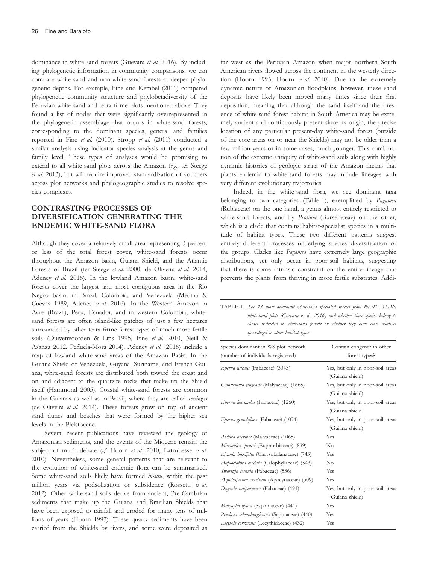dominance in white-sand forests (Guevara et al. 2016). By including phylogenetic information in community comparisons, we can compare white-sand and non-white-sand forests at deeper phylogenetic depths. For example, Fine and Kembel (2011) compared phylogenetic community structure and phylobetadiversity of the Peruvian white-sand and terra firme plots mentioned above. They found a list of nodes that were significantly overrepresented in the phylogenetic assemblage that occurs in white-sand forests, corresponding to the dominant species, genera, and families reported in Fine et al. (2010). Stropp et al. (2011) conducted a similar analysis using indicator species analysis at the genus and family level. These types of analyses would be promising to extend to all white-sand plots across the Amazon (e.g., ter Steege et al. 2013), but will require improved standardization of vouchers across plot networks and phylogeographic studies to resolve species complexes.

#### CONTRASTING PROCESSES OF DIVERSIFICATION GENERATING THE ENDEMIC WHITE-SAND FLORA

Although they cover a relatively small area representing 3 percent or less of the total forest cover, white-sand forests occur throughout the Amazon basin, Guiana Shield, and the Atlantic Forests of Brazil (ter Steege et al. 2000, de Oliveira et al. 2014, Adeney et al. 2016). In the lowland Amazon basin, white-sand forests cover the largest and most contiguous area in the Rio Negro basin, in Brazil, Colombia, and Venezuela (Medina & Cuevas 1989, Adeney et al. 2016). In the Western Amazon in Acre (Brazil), Peru, Ecuador, and in western Colombia, whitesand forests are often island-like patches of just a few hectares surrounded by other terra firme forest types of much more fertile soils (Duivenvoorden & Lips 1995, Fine et al. 2010, Neill & Asanza 2012, Peñuela-Mora 2014). Adeney et al. (2016) include a map of lowland white-sand areas of the Amazon Basin. In the Guiana Shield of Venezuela, Guyana, Suriname, and French Guiana, white-sand forests are distributed both toward the coast and on and adjacent to the quartzite rocks that make up the Shield itself (Hammond 2005). Coastal white-sand forests are common in the Guianas as well as in Brazil, where they are called restingas (de Oliveira et al. 2014). These forests grow on top of ancient sand dunes and beaches that were formed by the higher sea levels in the Pleistocene.

Several recent publications have reviewed the geology of Amazonian sediments, and the events of the Miocene remain the subject of much debate (cf. Hoorn et al. 2010, Latrubesse et al. 2010). Nevertheless, some general patterns that are relevant to the evolution of white-sand endemic flora can be summarized. Some white-sand soils likely have formed *in-situ*, within the past million years via podsolization or subsidence (Rossetti et al. 2012). Other white-sand soils derive from ancient, Pre-Cambrian sediments that make up the Guiana and Brazilian Shields that have been exposed to rainfall and eroded for many tens of millions of years (Hoorn 1993). These quartz sediments have been carried from the Shields by rivers, and some were deposited as

far west as the Peruvian Amazon when major northern South American rivers flowed across the continent in the westerly direction (Hoorn 1993, Hoorn et al. 2010). Due to the extremely dynamic nature of Amazonian floodplains, however, these sand deposits have likely been moved many times since their first deposition, meaning that although the sand itself and the presence of white-sand forest habitat in South America may be extremely ancient and continuously present since its origin, the precise location of any particular present-day white-sand forest (outside of the core areas on or near the Shields) may not be older than a few million years or in some cases, much younger. This combination of the extreme antiquity of white-sand soils along with highly dynamic histories of geologic strata of the Amazon means that plants endemic to white-sand forests may include lineages with very different evolutionary trajectories.

Indeed, in the white-sand flora, we see dominant taxa belonging to two categories (Table 1), exemplified by Pagamea (Rubiaceae) on the one hand, a genus almost entirely restricted to white-sand forests, and by Protium (Burseraceae) on the other, which is a clade that contains habitat-specialist species in a multitude of habitat types. These two different patterns suggest entirely different processes underlying species diversification of the groups. Clades like *Pagamea* have extremely large geographic distributions, yet only occur in poor-soil habitats, suggesting that there is some intrinsic constraint on the entire lineage that prevents the plants from thriving in more fertile substrates. Addi-

TABLE 1. The 13 most dominant white-sand specialist species from the 91 ATDN white-sand plots (Guevara et al. 2016) and whether these species belong to clades restricted to white-sand forests or whether they have close relatives specialized to other habitat types.

| Species dominant in WS plot network<br>(number of individuals registered) | Contain congener in other<br>forest types?          |
|---------------------------------------------------------------------------|-----------------------------------------------------|
| Eperua falcata (Fabaceae) (3343)                                          | Yes, but only in poor-soil areas<br>(Guiana shield) |
| Catostemma fragrans (Malvaceae) (1665)                                    | Yes, but only in poor-soil areas<br>(Guiana shield) |
| Eperua leucantha (Fabaceae) (1260)                                        | Yes, but only in poor-soil areas<br>(Guiana shield  |
| Eperua grandiflora (Fabaceae) (1074)                                      | Yes, but only in poor-soil areas<br>(Guiana shield) |
| Pachira brevipes (Malvaceae) (1065)                                       | Yes                                                 |
| Micrandra sprucei (Euphorbiaceae) (839)                                   | No                                                  |
| Licania buxifolia (Chrysobalanaceae) (743)                                | Yes                                                 |
| Haploclathra cordata (Calophyllaceae) (543)                               | $\rm No$                                            |
| Swartzia bannia (Fabaceae) (536)                                          | Yes                                                 |
| Aspidosperma excelsum (Apocynaceae) (509)                                 | Yes                                                 |
| Dicymbe uaiparaense (Fabaceae) (491)                                      | Yes, but only in poor-soil areas<br>(Guiana shield) |
| Matyayba opaca (Sapindaceae) (441)                                        | Yes                                                 |
| Pradosia schomburgkiana (Sapotaceae) (440)                                | Yes                                                 |
| Lecythis corrugata (Lecythidaceae) (432)                                  | Yes                                                 |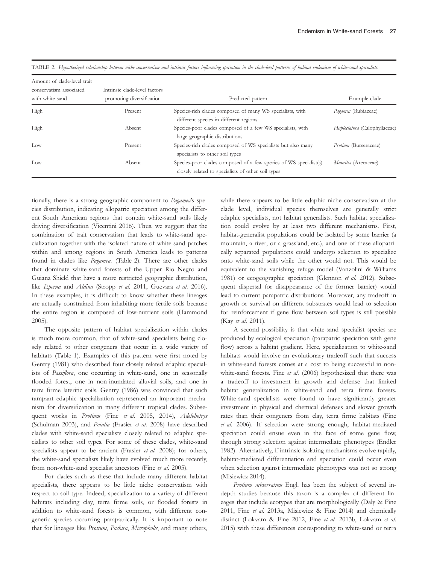| Amount of clade-level trait<br>conservatism associated<br>with white sand | Intrinsic clade-level factors<br>promoting diversification | Predicted pattern                                                                                                       | Example clade                 |
|---------------------------------------------------------------------------|------------------------------------------------------------|-------------------------------------------------------------------------------------------------------------------------|-------------------------------|
| High                                                                      | Present                                                    | Species-rich clades composed of many WS specialists, with<br>different species in different regions                     | Pagamea (Rubiaceae)           |
| High                                                                      | Absent                                                     | Species-poor clades composed of a few WS specialists, with<br>large geographic distributions                            | Haploclathra (Calophyllaceae) |
| Low                                                                       | Present                                                    | Species-rich clades composed of WS specialists but also many<br>specialists to other soil types                         | Protium (Burseraceae)         |
| Low                                                                       | Absent                                                     | Species-poor clades composed of a few species of WS specialist(s)<br>closely related to specialists of other soil types | Mauritia (Arecaceae)          |

TABLE 2. Hypothesized relationship between niche conservatism and intrinsic factors influencing speciation in the clade-level patterns of habitat endemism of white-sand specialists.

tionally, there is a strong geographic component to Pagamea's species distribution, indicating allopatric speciation among the different South American regions that contain white-sand soils likely driving diversification (Vicentini 2016). Thus, we suggest that the combination of trait conservatism that leads to white-sand specialization together with the isolated nature of white-sand patches within and among regions in South America leads to patterns found in clades like Pagamea. (Table 2). There are other clades that dominate white-sand forests of the Upper Rio Negro and Guiana Shield that have a more restricted geographic distribution, like Eperua and Aldina (Stropp et al. 2011, Guevara et al. 2016). In these examples, it is difficult to know whether these lineages are actually constrained from inhabiting more fertile soils because the entire region is composed of low-nutrient soils (Hammond 2005).

The opposite pattern of habitat specialization within clades is much more common, that of white-sand specialists being closely related to other congeners that occur in a wide variety of habitats (Table 1). Examples of this pattern were first noted by Gentry (1981) who described four closely related edaphic specialists of Passiflora, one occurring in white-sand, one in seasonally flooded forest, one in non-inundated alluvial soils, and one in terra firme lateritic soils. Gentry (1986) was convinced that such rampant edaphic specialization represented an important mechanism for diversification in many different tropical clades. Subsequent works in Protium (Fine et al. 2005, 2014), Adelobotrys (Schulman 2003), and Potalia (Frasier et al. 2008) have described clades with white-sand specialists closely related to edaphic specialists to other soil types. For some of these clades, white-sand specialists appear to be ancient (Frasier et al. 2008); for others, the white-sand specialists likely have evolved much more recently, from non-white-sand specialist ancestors (Fine et al. 2005).

For clades such as these that include many different habitat specialists, there appears to be little niche conservatism with respect to soil type. Indeed, specialization to a variety of different habitats including clay, terra firme soils, or flooded forests in addition to white-sand forests is common, with different congeneric species occurring parapatrically. It is important to note that for lineages like Protium, Pachira, Micropholis, and many others,

while there appears to be little edaphic niche conservatism at the clade level, individual species themselves are generally strict edaphic specialists, not habitat generalists. Such habitat specialization could evolve by at least two different mechanisms. First, habitat-generalist populations could be isolated by some barrier (a mountain, a river, or a grassland, etc.), and one of these allopatrically separated populations could undergo selection to specialize onto white-sand soils while the other would not. This would be equivalent to the vanishing refuge model (Vanzolini & Williams 1981) or ecogeographic speciation (Glennon et al. 2012). Subsequent dispersal (or disappearance of the former barrier) would lead to current parapatric distributions. Moreover, any tradeoff in growth or survival on different substrates would lead to selection for reinforcement if gene flow between soil types is still possible (Kay et al. 2011).

A second possibility is that white-sand specialist species are produced by ecological speciation (parapatric speciation with gene flow) across a habitat gradient. Here, specialization to white-sand habitats would involve an evolutionary tradeoff such that success in white-sand forests comes at a cost to being successful in nonwhite-sand forests. Fine et al. (2006) hypothesized that there was a tradeoff to investment in growth and defense that limited habitat generalization in white-sand and terra firme forests. White-sand specialists were found to have significantly greater investment in physical and chemical defenses and slower growth rates than their congeners from clay, terra firme habitats (Fine et al. 2006). If selection were strong enough, habitat-mediated speciation could ensue even in the face of some gene flow, through strong selection against intermediate phenotypes (Endler 1982). Alternatively, if intrinsic isolating mechanisms evolve rapidly, habitat-mediated differentiation and speciation could occur even when selection against intermediate phenotypes was not so strong (Misiewicz 2014).

Protium subserratum Engl. has been the subject of several indepth studies because this taxon is a complex of different lineages that include ecotypes that are morphologically (Daly & Fine 2011, Fine et al. 2013a, Misiewicz & Fine 2014) and chemically distinct (Lokvam & Fine 2012, Fine et al. 2013b, Lokvam et al. 2015) with these differences corresponding to white-sand or terra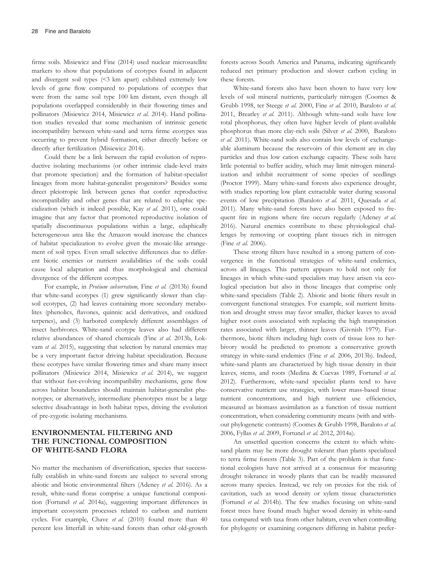firme soils. Misiewicz and Fine (2014) used nuclear microsatellite markers to show that populations of ecotypes found in adjacent and divergent soil types (<3 km apart) exhibited extremely low levels of gene flow compared to populations of ecotypes that were from the same soil type 100 km distant, even though all populations overlapped considerably in their flowering times and pollinators (Misiewicz 2014, Misiewicz et al. 2014). Hand pollination studies revealed that some mechanism of intrinsic genetic incompatibility between white-sand and terra firme ecotypes was occurring to prevent hybrid formation, either directly before or directly after fertilization (Misiewicz 2014).

Could there be a link between the rapid evolution of reproductive isolating mechanisms (or other intrinsic clade-level traits that promote speciation) and the formation of habitat-specialist lineages from more habitat-generalist progenitors? Besides some direct pleiotropic link between genes that confer reproductive incompatibility and other genes that are related to edaphic specialization (which is indeed possible, Kay et al. 2011), one could imagine that any factor that promoted reproductive isolation of spatially discontinuous populations within a large, edaphically heterogeneous area like the Amazon would increase the chances of habitat specialization to evolve given the mosaic-like arrangement of soil types. Even small selective differences due to different biotic enemies or nutrient availabilities of the soils could cause local adaptation and thus morphological and chemical divergence of the different ecotypes.

For example, in Protium subserratum, Fine et al. (2013b) found that white-sand ecotypes (1) grew significantly slower than claysoil ecotypes, (2) had leaves containing more secondary metabolites (phenolics, flavones, quinnic acid derivatives, and oxidized terpenes), and (3) harbored completely different assemblages of insect herbivores. White-sand ecotype leaves also had different relative abundances of shared chemicals (Fine et al. 2013b, Lokvam et al. 2015), suggesting that selection by natural enemies may be a very important factor driving habitat specialization. Because these ecotypes have similar flowering times and share many insect pollinators (Misiewicz 2014, Misiewicz et al. 2014), we suggest that without fast-evolving incompatibility mechanisms, gene flow across habitat boundaries should maintain habitat-generalist phenotypes; or alternatively, intermediate phenotypes must be a large selective disadvantage in both habitat types, driving the evolution of pre-zygotic isolating mechanisms.

### ENVIRONMENTAL FILTERING AND THE FUNCTIONAL COMPOSITION OF WHITE-SAND FLORA

No matter the mechanism of diversification, species that successfully establish in white-sand forests are subject to several strong abiotic and biotic environmental filters (Adeney et al. 2016). As a result, white-sand floras comprise a unique functional composition (Fortunel et al. 2014a), suggesting important differences in important ecosystem processes related to carbon and nutrient cycles. For example, Chave et al. (2010) found more than 40 percent less litterfall in white-sand forests than other old-growth forests across South America and Panama, indicating significantly reduced net primary production and slower carbon cycling in these forests.

White-sand forests also have been shown to have very low levels of soil mineral nutrients, particularly nitrogen (Coomes & Grubb 1998, ter Steege et al. 2000, Fine et al. 2010, Baraloto et al. 2011, Brearley et al. 2011). Although white-sand soils have low total phosphorus, they often have higher levels of plant-available phosphorus than more clay-rich soils (Silver et al. 2000, Baraloto et al. 2011). White-sand soils also contain low levels of exchangeable aluminum because the reservoirs of this element are in clay particles and thus low cation exchange capacity. These soils have little potential to buffer acidity, which may limit nitrogen mineralization and inhibit recruitment of some species of seedlings (Proctor 1999). Many white-sand forests also experience drought, with studies reporting low plant extractable water during seasonal events of low precipitation (Baraloto et al. 2011, Quesada et al. 2011). Many white-sand forests have also been exposed to frequent fire in regions where fire occurs regularly (Adeney et al. 2016). Natural enemies contribute to these physiological challenges by removing or coopting plant tissues rich in nitrogen (Fine et al. 2006).

These strong filters have resulted in a strong pattern of convergence in the functional strategies of white-sand endemics, across all lineages. This pattern appears to hold not only for lineages in which white-sand specialists may have arisen via ecological speciation but also in those lineages that comprise only white-sand specialists (Table 2). Abiotic and biotic filters result in convergent functional strategies. For example, soil nutrient limitation and drought stress may favor smaller, thicker leaves to avoid higher root costs associated with replacing the high transpiration rates associated with larger, thinner leaves (Givnish 1979). Furthermore, biotic filters including high costs of tissue loss to herbivory would be predicted to promote a conservative growth strategy in white-sand endemics (Fine et al. 2006, 2013b). Indeed, white-sand plants are characterized by high tissue density in their leaves, stems, and roots (Medina & Cuevas 1989, Fortunel et al. 2012). Furthermore, white-sand specialist plants tend to have conservative nutrient use strategies, with lower mass-based tissue nutrient concentrations, and high nutrient use efficiencies, measured as biomass assimilation as a function of tissue nutrient concentration, when considering community means (with and without phylogenetic contrasts) (Coomes & Grubb 1998, Baraloto et al. 2006, Fyllas et al. 2009, Fortunel et al. 2012, 2014a).

An unsettled question concerns the extent to which whitesand plants may be more drought tolerant than plants specialized to terra firme forests (Table 3). Part of the problem is that functional ecologists have not arrived at a consensus for measuring drought tolerance in woody plants that can be readily measured across many species. Instead, we rely on proxies for the risk of cavitation, such as wood density or xylem tissue characteristics (Fortunel et al. 2014b). The few studies focusing on white-sand forest trees have found much higher wood density in white-sand taxa compared with taxa from other habitats, even when controlling for phylogeny or examining congeners differing in habitat prefer-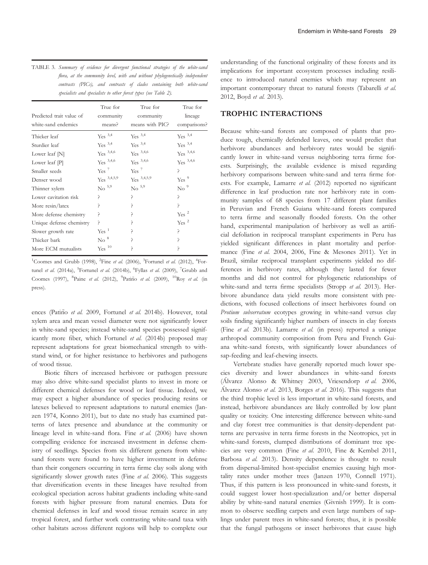TABLE 3. Summary of evidence for divergent functional strategies of the white-sand flora, at the community level, with and without phylogenetically independent contrasts (PICs), and contrasts of clades containing both white-sand specialists and specialists to other forest types (see Table 2).

| Predicted trait value of<br>white-sand endemics | True for<br>community<br>means? | True for<br>community<br>means with PIC? | True for<br>lineage<br>comparisons? |
|-------------------------------------------------|---------------------------------|------------------------------------------|-------------------------------------|
| Thicker leaf                                    | Yes <sup>3,4</sup>              | Yes <sup>3,4</sup>                       | $Yes$ $3,4$                         |
| Sturdier leaf                                   | $Yes$ $3,4$                     | Yes <sup>3,4</sup>                       | $Yes$ $3,4$                         |
| Lower leaf [N]                                  | $Yes$ $3,4,6$                   | $Yes$ $3,4,6$                            | $Yes$ $3,4,6$                       |
| Lower leaf $[P]$                                | $Yes$ $3,4,6$                   | $Yes$ $3,4,6$                            | $Yes$ $3,4,6$                       |
| Smaller seeds                                   | Yes <sup>7</sup>                | Yes <sup>7</sup>                         | ç.                                  |
| Denser wood                                     | $Yes$ $3,4,5,9$                 | $Yes$ $3,4,5,9$                          | $Yes$ <sup>9</sup>                  |
| Thinner xylem                                   | $\rm No$ $^{5,9}$               | $\rm No$ $^{5,9}$                        | $\mathrm{No}$ <sup>9</sup>          |
| Lower cavitation risk                           | ς                               | P                                        | Ś,                                  |
| More resin/latex                                |                                 | Ś,                                       | Ç                                   |
| More defense chemistry                          | P                               | Ś,                                       | Yes <sup>2</sup>                    |
| Unique defense chemistry                        | P                               |                                          | Yes <sup>2</sup>                    |
| Slower growth rate                              | Yes <sup>1</sup>                | Ç                                        | Ç                                   |
| Thicker bark                                    | $\mbox{No}$ $^8$                | 5.                                       | Ç                                   |
| More ECM mutualists                             | $Yes$ <sup>10</sup>             | ς                                        | ς                                   |

<sup>1</sup>Coomes and Grubb (1998), <sup>2</sup>Fine *et al.* (2006), <sup>3</sup>Fortunel *et al.* (2012), <sup>4</sup>Fortunel *et al.* (2014a), <sup>5</sup>Fortunel *et al.* (2014b), <sup>6</sup>Fyllas *et al.* (2009), <sup>7</sup>Grubb and Coomes (1997), <sup>8</sup>Paine et al. (2012), <sup>9</sup>Patiño et al. (2009), <sup>10</sup>Roy et al. (in press).

ences (Patiño et al. 2009, Fortunel et al. 2014b). However, total xylem area and mean vessel diameter were not significantly lower in white-sand species; instead white-sand species possessed significantly more fiber, which Fortunel et al. (2014b) proposed may represent adaptations for great biomechanical strength to withstand wind, or for higher resistance to herbivores and pathogens of wood tissue.

Biotic filters of increased herbivore or pathogen pressure may also drive white-sand specialist plants to invest in more or different chemical defenses for wood or leaf tissue. Indeed, we may expect a higher abundance of species producing resins or latexes believed to represent adaptations to natural enemies (Janzen 1974, Konno 2011), but to date no study has examined patterns of latex presence and abundance at the community or lineage level in white-sand flora. Fine et al. (2006) have shown compelling evidence for increased investment in defense chemistry of seedlings. Species from six different genera from whitesand forests were found to have higher investment in defense than their congeners occurring in terra firme clay soils along with significantly slower growth rates (Fine *et al.* 2006). This suggests that diversification events in these lineages have resulted from ecological speciation across habitat gradients including white-sand forests with higher pressure from natural enemies. Data for chemical defenses in leaf and wood tissue remain scarce in any tropical forest, and further work contrasting white-sand taxa with other habitats across different regions will help to complete our understanding of the functional originality of these forests and its implications for important ecosystem processes including resilience to introduced natural enemies which may represent an important contemporary threat to natural forests (Tabarelli et al. 2012, Boyd et al. 2013).

### TROPHIC INTERACTIONS

Because white-sand forests are composed of plants that produce tough, chemically defended leaves, one would predict that herbivore abundances and herbivory rates would be significantly lower in white-sand versus neighboring terra firme forests. Surprisingly, the available evidence is mixed regarding herbivory comparisons between white-sand and terra firme forests. For example, Lamarre et al. (2012) reported no significant difference in leaf production rate nor herbivory rate in community samples of 68 species from 17 different plant families in Peruvian and French Guiana white-sand forests compared to terra firme and seasonally flooded forests. On the other hand, experimental manipulation of herbivory as well as artificial defoliation in reciprocal transplant experiments in Peru has yielded significant differences in plant mortality and performance (Fine et al. 2004, 2006, Fine & Mesones 2011). Yet in Brazil, similar reciprocal transplant experiments yielded no differences in herbivory rates, although they lasted for fewer months and did not control for phylogenetic relationships of white-sand and terra firme specialists (Stropp et al. 2013). Herbivore abundance data yield results more consistent with predictions, with focused collections of insect herbivores found on Protium subserratum ecotypes growing in white-sand versus clay soils finding significantly higher numbers of insects in clay forests (Fine et al. 2013b). Lamarre et al. (in press) reported a unique arthropod community composition from Peru and French Guiana white-sand forests, with significantly lower abundances of sap-feeding and leaf-chewing insects.

Vertebrate studies have generally reported much lower species diversity and lower abundances in white-sand forests (Álvarez Alonso & Whitney 2003, Vriesendorp et al. 2006, Álvarez Alonso et al. 2013, Borges et al. 2016). This suggests that the third trophic level is less important in white-sand forests, and instead, herbivore abundances are likely controlled by low plant quality or toxicity. One interesting difference between white-sand and clay forest tree communities is that density-dependent patterns are pervasive in terra firme forests in the Neotropics, yet in white-sand forests, clumped distributions of dominant tree species are very common (Fine et al. 2010, Fine & Kembel 2011, Barbosa et al. 2013). Density dependence is thought to result from dispersal-limited host-specialist enemies causing high mortality rates under mother trees (Janzen 1970, Connell 1971). Thus, if this pattern is less pronounced in white-sand forests, it could suggest lower host-specialization and/or better dispersal ability by white-sand natural enemies (Givnish 1999). It is common to observe seedling carpets and even large numbers of saplings under parent trees in white-sand forests; thus, it is possible that the fungal pathogens or insect herbivores that cause high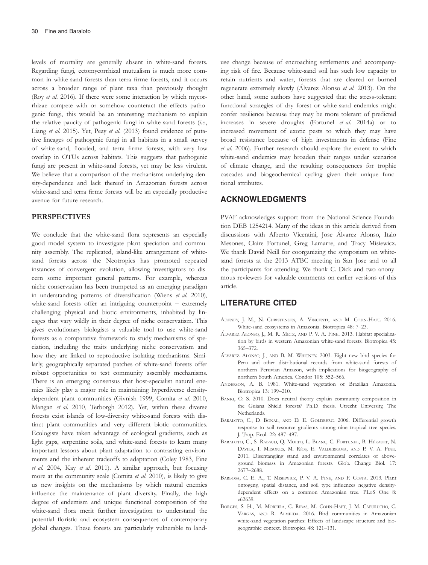levels of mortality are generally absent in white-sand forests. Regarding fungi, ectomycorrhizal mutualism is much more common in white-sand forests than terra firme forests, and it occurs across a broader range of plant taxa than previously thought (Roy et al. 2016). If there were some interaction by which mycorrhizae compete with or somehow counteract the effects pathogenic fungi, this would be an interesting mechanism to explain the relative paucity of pathogenic fungi in white-sand forests (i.e., Liang et al. 2015). Yet, Peay et al. (2013) found evidence of putative lineages of pathogenic fungi in all habitats in a small survey of white-sand, flooded, and terra firme forests, with very low overlap in OTUs across habitats. This suggests that pathogenic fungi are present in white-sand forests, yet may be less virulent. We believe that a comparison of the mechanisms underlying density-dependence and lack thereof in Amazonian forests across white-sand and terra firme forests will be an especially productive avenue for future research.

#### PERSPECTIVES

We conclude that the white-sand flora represents an especially good model system to investigate plant speciation and community assembly. The replicated, island-like arrangement of whitesand forests across the Neotropics has promoted repeated instances of convergent evolution, allowing investigators to discern some important general patterns. For example, whereas niche conservatism has been trumpeted as an emerging paradigm in understanding patterns of diversification (Wiens et al. 2010), white-sand forests offer an intriguing counterpoint – extremely challenging physical and biotic environments, inhabited by lineages that vary wildly in their degree of niche conservatism. This gives evolutionary biologists a valuable tool to use white-sand forests as a comparative framework to study mechanisms of speciation, including the traits underlying niche conservatism and how they are linked to reproductive isolating mechanisms. Similarly, geographically separated patches of white-sand forests offer robust opportunities to test community assembly mechanisms. There is an emerging consensus that host-specialist natural enemies likely play a major role in maintaining hyperdiverse densitydependent plant communities (Givnish 1999, Comita et al. 2010, Mangan et al. 2010, Terborgh 2012). Yet, within these diverse forests exist islands of low-diversity white-sand forests with distinct plant communities and very different biotic communities. Ecologists have taken advantage of ecological gradients, such as light gaps, serpentine soils, and white-sand forests to learn many important lessons about plant adaptation to contrasting environments and the inherent tradeoffs to adaptation (Coley 1983, Fine et al. 2004, Kay et al. 2011). A similar approach, but focusing more at the community scale (Comita et al. 2010), is likely to give us new insights on the mechanisms by which natural enemies influence the maintenance of plant diversity. Finally, the high degree of endemism and unique functional composition of the white-sand flora merit further investigation to understand the potential floristic and ecosystem consequences of contemporary global changes. These forests are particularly vulnerable to land-

use change because of encroaching settlements and accompanying risk of fire. Because white-sand soil has such low capacity to retain nutrients and water, forests that are cleared or burned regenerate extremely slowly (Álvarez Alonso et al. 2013). On the other hand, some authors have suggested that the stress-tolerant functional strategies of dry forest or white-sand endemics might confer resilience because they may be more tolerant of predicted increases in severe droughts (Fortunel et al. 2014a) or to increased movement of exotic pests to which they may have broad resistance because of high investments in defense (Fine et al. 2006). Further research should explore the extent to which white-sand endemics may broaden their ranges under scenarios of climate change, and the resulting consequences for trophic cascades and biogeochemical cycling given their unique functional attributes.

### ACKNOWLEDGMENTS

PVAF acknowledges support from the National Science Foundation DEB 1254214. Many of the ideas in this article derived from discussions with Alberto Vicentini, Jose Alvarez Alonso, Italo - Mesones, Claire Fortunel, Greg Lamarre, and Tracy Misiewicz. We thank David Neill for coorganizing the symposium on whitesand forests at the 2013 ATBC meeting in San Jose and to all the participants for attending. We thank C. Dick and two anonymous reviewers for valuable comments on earlier versions of this article.

### LITERATURE CITED

- ADENEY, J. M., N. CHRISTENSEN, A. VINCENTI, AND M. COHN-HAFT. 2016. White-sand ecosystems in Amazonia. Biotropica 48: 7–23.
- ÁLVAREZ ALONSO, J., M. R. METZ, AND P. V. A. FINE. 2013. Habitat specialization by birds in western Amazonian white-sand forests. Biotropica 45: 365–372.
- A-LVAREZ ALONSO, J., AND B. M. WHITNEY. 2003. Eight new bird species for Peru and other distributional records from white-sand forests of northern Peruvian Amazon, with implications for biogeography of northern South America. Condor 105: 552–566.
- ANDERSON, A. B. 1981. White-sand vegetation of Brazilian Amazonia. Biotropica 13: 199–210.
- BANKI, O. S. 2010. Does neutral theory explain community composition in the Guiana Shield forests? Ph.D. thesis. Utrecht University, The Netherlands.
- BARALOTO, C., D. BONAL, AND D. E. GOLDBERG. 2006. Differential growth response to soil resource gradients among nine tropical tree species. J. Trop. Ecol. 22: 487–497.
- BARALOTO, C., S. RABAUD, Q. MOLTO, L. BLANC, C. FORTUNEL, B. HÉRAULT, N. DÁVILA, I. MESONES, M. RÍOS, E. VALDERRAMA, AND P. V. A. FINE. 2011. Disentangling stand and environmental correlates of aboveground biomass in Amazonian forests. Glob. Change Biol. 17: 2677–2688.
- BARBOSA, C. E. A., T. MISIEWICZ, P. V. A. FINE, AND F. COSTA. 2013. Plant ontogeny, spatial distance, and soil type influences negative densitydependent effects on a common Amazonian tree. PLoS One 8: e62639.
- BORGES, S. H., M. MOREIRA, C. RIBAS, M. COHN-HAFT, J. M. CAPURUCHO, C. VARGAS, AND R. ALMEIDA. 2016. Bird communities in Amazonian white-sand vegetation patches: Effects of landscape structure and biogeographic context. Biotropica 48: 121–131.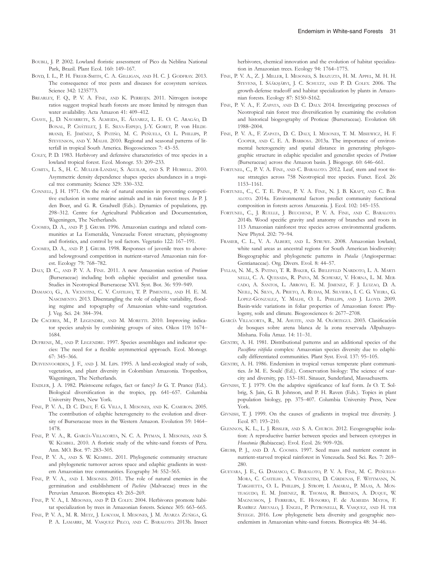- BOUBLI, J. P. 2002. Lowland floristic assessment of Pico da Neblina National Park, Brazil. Plant Ecol. 160: 149–167.
- BOYD, I. L., P. H. FREER-SMITH, C. A. GILLIGAN, AND H. C. J. GODFRAY. 2013. The consequence of tree pests and diseases for ecosystem services. Science 342: 1235773.
- BREARLEY, F. Q., P. V. A. FINE, AND K. PERREIJN. 2011. Nitrogen isotope ratios suggest tropical heath forests are more limited by nitrogen than water availability. Acta Amazon 41: 409–412.
- CHAVE, J., D. NAVARRETE, S. ALMEIDA, E. ÁLVAREZ, L. E. O. C. ARAGÃO, D. BONAL, P. CHÂTELET, J. E. SILVA-ESPEJO, J.-Y. GORET, P. von HILDEbrand, E. Jiménez, S. Patiño, M. C. Peñuela, O. L. Phillips, P. STEVENSON, AND Y. MALHI. 2010. Regional and seasonal patterns of litterfall in tropical South America. Biogeosciences 7: 43–55.
- COLEY, P. D. 1983. Herbivory and defensive characteristics of tree species in a lowland tropical forest. Ecol. Monogr. 53: 209–233.
- COMITA, L. S., H. C. MULLER-LANDAU, S. AGUILAR, AND S. P. HUBBELL. 2010. Asymmetric density dependence shapes species abundances in a tropical tree community. Science 329: 330–332.
- CONNELL, J. H. 1971. On the role of natural enemies in preventing competitive exclusion in some marine animals and in rain forest trees. In P. J. den Boer, and G. R. Gradwell (Eds.). Dynamics of populations, pp. 298–312. Centre for Agricultural Publication and Documentation, Wageningen, The Netherlands.
- COOMES, D. A., AND P. J. GRUBB. 1996. Amazonian caatinga and related communities at La Esmeralda, Venezuela: Forest structure, physiognomy and floristics, and control by soil factors. Vegetatio 122: 167–191.
- COOMES, D. A., AND P. J. GRUBB. 1998. Responses of juvenile trees to aboveand belowground competition in nutrient-starved Amazonian rain forest. Ecology 79: 768–782.
- DALY, D. C., AND P. V. A. FINE. 2011. A new Amazonian section of Protium (Burseraceae) including both edaphic specialist and generalist taxa. Studies in Neotropical Burseraceae XVI. Syst. Bot. 36: 939–949.
- DAMASCO, G., A. VICENTINI, C. V. CASTILHO, T. P. PIMENTEL, AND H. E. M. NASCIMENTO. 2013. Disentangling the role of edaphic variability, flooding regime and topography of Amazonian white-sand vegetation. J. Veg. Sci. 24: 384–394.
- De CACERES, M., P. LEGENDRE, AND M. MORETTI. 2010. Improving indicator species analysis by combining groups of sites. Oikos 119: 1674– 1684.
- DUFRENE, M., AND P. LEGENDRE. 1997. Species assemblages and indicator species: The need for a flexible asymmetrical approach. Ecol. Monogr. 67: 345–366.
- DUIVENVOORDEN, J. F., AND J. M. LIPS. 1995. A land-ecological study of soils, vegetation, and plant diversity in Colombian Amazonia. Tropenbos, Wageningen, The Netherlands.
- ENDLER, J. A. 1982. Pleistocene refuges, fact or fancy? In G. T. Prance (Ed.). Biological diversification in the tropics, pp. 641–657. Columbia University Press, New York.
- FINE, P. V. A., D. C. DALY, F. G. VILLA, I. MESONES, AND K. CAMERON. 2005. The contribution of edaphic heterogeneity to the evolution and diversity of Burseraceae trees in the Western Amazon. Evolution 59: 1464– 1478.
- FINE, P. V. A., R. GARCÍA-VILLACORTA, N. C. A. PITMAN, I. MESONES, AND S. W. KEMBEL. 2010. A floristic study of the white-sand forests of Peru. Ann. MO. Bot. 97: 283–305.
- FINE, P. V. A., AND S. W. KEMBEL. 2011. Phylogenetic community structure and phylogenetic turnover across space and edaphic gradients in western Amazonian tree communities. Ecography 34: 552–565.
- FINE, P. V. A., AND I. MESONES. 2011. The role of natural enemies in the germination and establishment of Pachira (Malvaceae) trees in the Peruvian Amazon. Biotropica 43: 265–269.
- FINE, P. V. A., I. MESONES, AND P. D. COLEY. 2004. Herbivores promote habitat specialization by trees in Amazonian forests. Science 305: 663–665.
- FINE, P. V. A., M. R. METZ, J. LOKVAM, I. MESONES, J. M. AYARZA ZUÑIGA, G. P. A. LAMARRE, M. VASQUEZ PILCO, AND C. BARALOTO. 2013b. Insect

herbivores, chemical innovation and the evolution of habitat specialization in Amazonian trees. Ecology 94: 1764–1775.

- FINE, P. V. A., Z. J. MILLER, I. MESONES, S. IRAZUZTA, H. M. APPEL, M. H. H. STEVENS, I. SÄÄKSJÄRVI, J. C. SCHULTZ, AND P. D. COLEY. 2006. The growth-defense tradeoff and habitat specialization by plants in Amazonian forests. Ecology 87: S150–S162.
- FINE, P. V. A., F. ZAPATA, AND D. C. DALY. 2014. Investigating processes of Neotropical rain forest tree diversification by examining the evolution and historical biogeography of Protieae (Burseraceae). Evolution 68: 1988–2004.
- FINE, P. V. A., F. ZAPATA, D. C. DALY, I. MESONES, T. M. MISIEWICZ, H. F. COOPER, AND C. E. A. BARBOSA. 2013a. The importance of environmental heterogeneity and spatial distance in generating phylogeographic structure in edaphic specialist and generalist species of Protium (Burseraceae) across the Amazon basin. J. Biogeogr. 60: 646–661.
- FORTUNEL, C., P. V. A. FINE, AND C. BARALOTO. 2012. Leaf, stem and root tissue strategies across 758 Neotropical tree species. Funct. Ecol. 26: 1153–1161.
- FORTUNEL, C., C. T. E. PAINE, P. V. A. FINE, N. J. B. KRAFT, AND C. BAR-ALOTO. 2014a. Environmental factors predict community functional composition in forests across Amazonia. J. Ecol. 102: 145–155.
- FORTUNEL, C., J. RUELLE, J. BEUCHENE, P. V. A. FINE, AND C. BARALOTO. 2014b. Wood specific gravity and anatomy of branches and roots in 113 Amazonian rainforest tree species across environmental gradients. New Phytol. 202: 79–94.
- FRASIER, C. L., V. A. ALBERT, AND L. STRUWE. 2008. Amazonian lowland, white sand areas as ancestral regions for South American biodiversity: Biogeographic and phylogenetic patterns in Potalia (Angiospermae: Gentianaceae). Org. Divers. Evol. 8: 44–57.
- FYLLAS, N. M., S. PATINO, T. R. BAKER, G. BIELEFELD NARDOTO, L. A. MARTI-NELLI, C. A. QUESADA, R. PAIVA, M. SCHWARZ, V. HORNA, L. M. MER-CADO, A. SANTOS, L. ARROYO, E. M. JIMENEZ, F. J. LUIZAO, D. A. NEILL, N. SILVA, A. PRIETO, A. RUDAS, M. SILVIERA, I. C. G. VIEIRA, G. LOPEZ-GONZALEZ, Y. MALHI, O. L. PHILLIPS, AND J. LLOYD. 2009. Basin-wide variations in foliar properties of Amazonian forest: Phylogeny, soils and climate. Biogeosciences 6: 2677–2708.
- GARCÍA VILLACORTA, R., M. AHUITE, AND M. OLÓRTEGUI. 2003. Clasificación de bosques sobre arena blanca de la zona reservada Allpahuayo-Mishana. Folia Amaz. 14: 11–31.
- GENTRY, A. H. 1981. Distributional patterns and an additional species of the Passiflora vitifolia complex: Amazonian species diversity due to edaphically differentiated communities. Plant Syst. Evol. 137: 95–105.
- GENTRY, A. H. 1986. Endemism in tropical versus temperate plant communities. In M. E. Soulé (Ed.). Conservation biology: The science of scarcity and diversity, pp. 153–181. Sinauer, Sunderland, Massachusetts.
- GIVNISH, T. J. 1979. On the adaptive significance of leaf form. In O. T. Solbrig, S. Jain, G. B. Johnson, and P. H. Raven (Eds.). Topics in plant population biology, pp. 375–407. Columbia University Press, New York.
- GIVNISH, T. J. 1999. On the causes of gradients in tropical tree diversity. J. Ecol. 87: 193–210.
- GLENNON, K. L., L. J. RISSLER, AND S. A. CHURCH. 2012. Ecogeographic isolation: A reproductive barrier between species and between cytotypes in Houstonia (Rubiaceae). Evol. Ecol. 26: 909–926.
- GRUBB, P. J., AND D. A. COOMES. 1997. Seed mass and nutrient content in nutrient-starved tropical rainforest in Venezuela. Seed Sci. Res. 7: 269– 280.
- GUEVARA, J. E., G. DAMASCO, C. BARALOTO, P. V. A. FINE, M. C. PEÑUELA-MORA, C. CASTILHO, A. VINCENTINI, D. CÁRDENAS, F. WITTMANN, N. TARGHETTA, O. L. PHILLIPS, J. STROPP, I. AMARAL, P. MAAS, A. MON-TEAGUDO, E. M. JIMENEZ, R. THOMAS, R. BRIENEN, A. DUQUE, W. MAGNUSSON, J. FERREIRA, E. HONORIO, F. de ALMEIDA MATOS, F. RAMÍREZ AREVALO, J. ENGEL, P. PETRONELLI, R. VASQUEZ, AND H. TER STEEGE. 2016. Low phylogenetic beta diversity and geographic neoendemism in Amazonian white-sand forests. Biotropica 48: 34–46.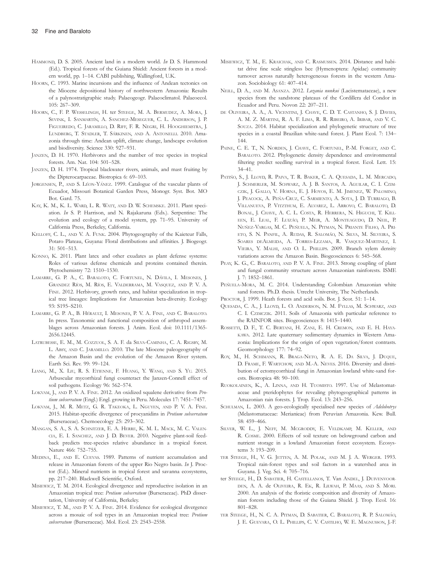- HAMMOND, D. S. 2005. Ancient land in a modern world. In D. S. Hammond (Ed.). Tropical forests of the Guiana Shield: Ancient forests in a modern world, pp. 1–14. CABI publishing, Wallingford, U.K.
- HOORN, C. 1993. Marine incursions and the influence of Andean tectonics on the Miocene depositional history of northwestern Amazonia: Results of a palynostratigraphic study. Palaeogeogr. Palaeoclimatol. Palaeoecol. 105: 267–309.
- HOORN, C., F. P. WESSELINGH, H. ter STEEGE, M. A. BERMUDEZ, A. MORA, J. SEVINK, I. SANMARTÍN, A. SANCHEZ-MESEGUER, C. L. ANDERSON, J. P. FIGUEIREDO, C. JARAMILLO, D. RIFF, F. R. NEGRI, H. HOOGHIEMSTRA, J. LUNDBERG, T. STADLER, T. SÄRKINEN, AND A. ANTONELLI. 2010. Amazonia through time: Andean uplift, climate change, landscape evolution and biodiversity. Science 330: 927–931.
- JANZEN, D. H. 1970. Herbivores and the number of tree species in tropical forests. Am. Nat. 104: 501–528.
- JANZEN, D. H. 1974. Tropical blackwater rivers, animals, and mast fruiting by the Dipterocarpaceae. Biotropica 6: 69–103.
- JØRGENSEN, P., AND S. LÉON-YÁNEZ. 1999. Catalogue of the vascular plants of Ecuador, Missouri Botanical Garden Press, Monogr. Syst. Bot. MO Bot. Gard. 75.
- KAY, K. M., K. L. WARD, L. R. WATT, AND D. W. SCHEMSKE. 2011. Plant speciation. In S. P. Harrison, and N. Rajakaruna (Eds.). Serpentine: The evolution and ecology of a model system, pp. 71–95. University of California Press, Berkeley, California.
- KELLOFF, C. L., AND V. A. FUNK. 2004. Phytogeography of the Kaieteur Falls, Potaro Plateau, Guyana: Floral distributions and affinities. J. Biogeogr. 31: 501–513.
- KONNO, K. 2011. Plant latex and other exudates as plant defense systems: Roles of various defense chemicals and proteins contained therein. Phytochemistry 72: 1510–1530.
- LAMARRE, G. P. A., C. BARALOTO, C. FORTUNEL, N. DÁVILA, I. MESONES, J. GRANDEZ RÍOS, M. RÍOS, E. VALDERRAMA, M. VASQUEZ, AND P. V. A. FINE. 2012. Herbivory, growth rates, and habitat specialization in tropical tree lineages: Implications for Amazonian beta-diversity. Ecology 93: S195–S210.
- LAMARRE, G. P. A., B. HÉRAULT, I. MESONES, P. V. A. FINE, AND C. BARALOTO. In press. Taxonomic and functional composition of arthropod assemblages across Amazonian forests. J. Anim. Ecol. doi: [10.1111/1365-](http://dx.doi.org/10.1111/1365-2656.12445) [2656.12445.](http://dx.doi.org/10.1111/1365-2656.12445)
- LATRUBESSE, E. M., M. COZZUOL, S. A. F. da SILVA-CAMINHA, C. A. RIGSBY, M. L. ABSY, AND C. JARAMILLO. 2010. The late Miocene paleogeography of the Amazon Basin and the evolution of the Amazon River system. Earth Sci. Rev. 99: 99–124.
- LIANG, M., X. LIU, R. S. ETIENNE, F. HUANG, Y. WANG, AND S. YU. 2015. Arbuscular mycorrhizal fungi counteract the Janzen-Connell effect of soil pathogens. Ecology 96: 562–574.
- LOKVAM, J., AND P. V. A. FINE. 2012. An oxidized squalene derivative from Protium subserratum (Engl.) Engl. growing in Peru. Molecules 17: 7451-7457.
- LOKVAM, J., M. R. METZ, G. R. TAKEOKA, L. NGUYEN, AND P. V. A. FINE. 2015. Habitat-specific divergence of procyanidins in Protium subserratum (Burseraceae). Chemoecology 25: 293–302.
- MANGAN, S. A., S. A. SCHNITZER, E. A. HERRE, K. M. L. MACK, M. C. VALEN-CIA, E. I. SANCHEZ, AND J. D. BEVER. 2010. Negative plant-soil feedback predicts tree-species relative abundance in a tropical forest. Nature 466: 752–755.
- MEDINA, E., AND E. CUEVAS. 1989. Patterns of nutrient accumulation and release in Amazonian forests of the upper Rio Negro basin. In J. Proctor (Ed.). Mineral nutrients in tropical forest and savanna ecosystems, pp. 217–240. Blackwell Scientific, Oxford.
- MISIEWICZ, T. M. 2014. Ecological divergence and reproductive isolation in an Amazonian tropical tree: Protium subserratum (Burseraceae). PhD dissertation, University of California, Berkeley.
- MISIEWICZ, T. M., AND P. V. A. FINE. 2014. Evidence for ecological divergence across a mosaic of soil types in an Amazonian tropical tree: Protium subserratum (Burseraceae). Mol. Ecol. 23: 2543–2558.
- MISIEWICZ, T. M., E. KRAICHAK, AND C. RASMUSSEN. 2014. Distance and habitat drive fine scale stingless bee (Hymenoptera: Apidae) community turnover across naturally heterogeneous forests in the western Amazon. Sociobiology 61: 407–414.
- NEILL, D. A., AND M. ASANZA. 2012. Lozania nunkui (Lacistemataceae), a new species from the sandstone plateaus of the Cordillera del Condor in Ecuador and Peru. Novon 22: 207–211.
- DE OLIVEIRA, A. A., A. VICENTINI, J. CHAVE, C. D. T. CASTANHO, S. J. DAVIES, A. M. Z. MARTINI, R. A. F. LIMA, R. R. RIBEIRO, A. IRIBAR, AND V. C. SOUZA. 2014. Habitat specialization and phylogenetic structure of tree species in a coastal Brazilian white-sand forest. J. Plant Ecol. 7: 134– 144.
- PAINE, C. E. T., N. NORDEN, J. CHAVE, C. FORTUNEL, P.-M. FORGET, AND C. BARALOTO. 2012. Phylogenetic density dependence and environmental filtering predict seedling survival in a tropical forest. Ecol. Lett. 15: 34–41.
- PATIÑO, S., J. LLOYD, R. PAIVA, T. R. BAKER, C. A. QUESADA, L. M. MERCADO, J. SCHMERLER, M. SCHWARZ, A. J. B. SANTOS, A. AGUILAR, C. I. CZIM-CZIK, J. GALLO, V. HORNA, E. J. HOYOS, E. M. JIMENEZ, W. PALOMINO, J. PEACOCK, A. PEÑA-CRUZ, C. SARMIENTO, A. SOTA, J. D. TURRIAGO, B. VILLANUEVA, P. VITZTHUM, E. ALVAREZ, L. ARROYO, C. BARALOTO, D. BONAL, J. CHAVE, A. C. L. COSTA, R. HERRERA, N. HIGUCHI, T. KILL-EEN, E. LEAL, F. LUIZÃO, P. MEIR, A. MONTEAGUDO, D. NEIL, P. NUÑEZ-VARGAS, M. C. PEÑUELA, N. PITMAN, N. PRIANTE FILHO, A. PRI-ETO, S. N. PANFIL, A. RUDAS, R. SALOMÃO, N. SILVA, M. SILVEIRA, S. SOARES DEALMEIDA, A. TORRES-LEZAMA, R. VASQUEZ-MARTINEZ, I. VIEIRA, Y. MALHI, AND O. L. PHILLIPS. 2009. Branch xylem density variations across the Amazon Basin. Biogeosciences 6: 545–568.
- PEAY, K. G., C. BARALOTO, AND P. V. A. FINE. 2013. Strong coupling of plant and fungal community structure across Amazonian rainforests. ISME J. 7: 1852–1861.
- PEÑUELA-MORA, M. C. 2014. Understanding Colombian Amazonian white sand forests. Ph.D. thesis. Utrecht University, The Netherlands.
- PROCTOR, J. 1999. Heath forests and acid soils. Bot. J. Scot. 51: 1–14.
- QUESADA, C. A., J. LLOYD, L. O. ANDERSON, N. M. FYLLAS, M. SCHWARZ, AND C. I. CZIMCZIK. 2011. Soils of Amazonia with particular reference to the RAINFOR sites. Biogeosciences 8: 1415–1440.
- ROSSETTI, D. F., T. C. BERTANI, H. ZANI, E. H. CREMON, AND E. H. HAYA-KAWA. 2012. Late quaternary sedimentary dynamics in Western Amazonia: Implications for the origin of open vegetation/forest contrasts. Geomorphology 177: 74–92.
- ROY, M., H. SCHIMANN, R. BRAGA-NETO, R. A. E. DA SILVA, J. DUQUE, D. FRAME, F. WARTCHOW, AND M.-A. NEVES. 2016. Diversity and distribution of ectomycorrhizal fungi in Amazonian lowland white-sand forests. Biotropica 48: 90–100.
- RUOKOLAINEN, K., A. LINNA, AND H. TUOMISTO. 1997. Use of Melastomataceae and pteridophytes for revealing phytogeographical patterns in Amazonian rain forests. J. Trop. Ecol. 13: 243–256.
- SCHULMAN, L. 2003. A geo-ecologically specialised new species of Adelobotrys (Melastomataceae: Merianieae) from Peruvian Amazonia. Kew. Bull. 58: 459–466.
- SILVER, W. L., J. NEFF, M. MCGRODDY, E. VELDKAMP, M. KELLER, AND R. COSME. 2000. Effects of soil texture on belowground carbon and nutrient storage in a lowland Amazonian forest ecosystem. Ecosystems 3: 193–209.
- TER STEEGE, H., V. G. JETTEN, A. M. POLAK, AND M. J. A. WERGER. 1993. Tropical rain-forest types and soil factors in a watershed area in Guyana. J. Veg. Sci. 4: 705–716.
- ter STEEGE, H., D. SABATIER, H. CASTELLANOS, T. Van ANDEL, J. DUIVENVOOR-DEN, A. A. de OLIVEIRA, R. EK, R. LILWAH, P. MAAS, AND S. MORI. 2000. An analysis of the floristic composition and diversity of Amazonian forests including those of the Guiana Shield. J. Trop. Ecol. 16: 801–828.
- TER STEEGE, H., N. C. A. PITMAN, D. SABATIER, C. BARALOTO, R. P. SALOMÃO, J. E. GUEVARA, O. L. PHILLIPS, C. V. CASTILHO, W. E. MAGNUSSON, J.-F.